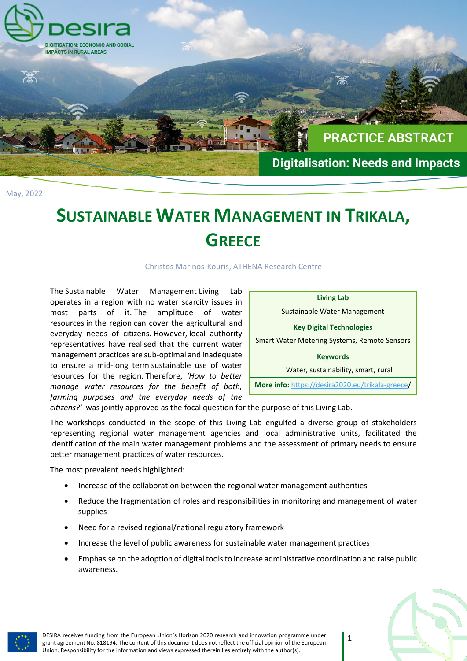

May, 2022

## **SUSTAINABLE WATER MANAGEMENT IN TRIKALA, GREECE**

## Christos Marinos-Kouris, ATHENA Research Centre

The Sustainable Water Management Living Lab operates in a region with no water scarcity issues in most parts of it. The amplitude of water resources in the region can cover the agricultural and everyday needs of citizens. However, local authority representatives have realised that the current water management practices are sub-optimal and inadequate to ensure a mid-long term sustainable use of water resources for the region. Therefore, *'How to better manage water resources for the benefit of both, farming purposes and the everyday needs of the* 

| <b>Living Lab</b>                                |
|--------------------------------------------------|
| Sustainable Water Management                     |
| <b>Key Digital Technologies</b>                  |
| Smart Water Metering Systems, Remote Sensors     |
| <b>Keywords</b>                                  |
| Water, sustainability, smart, rural              |
| More info: https://desira2020.eu/trikala-greece/ |

*citizens?'* was jointly approved as the focal question for the purpose of this Living Lab.

The workshops conducted in the scope of this Living Lab engulfed a diverse group of stakeholders representing regional water management agencies and local administrative units, facilitated the identification of the main water management problems and the assessment of primary needs to ensure better management practices of water resources.

The most prevalent needs highlighted:

- Increase of the collaboration between the regional water management authorities
- Reduce the fragmentation of roles and responsibilities in monitoring and management of water supplies
- Need for a revised regional/national regulatory framework
- Increase the level of public awareness for sustainable water management practices
- Emphasise on the adoption of digital toolsto increase administrative coordination and raise public awareness.



1